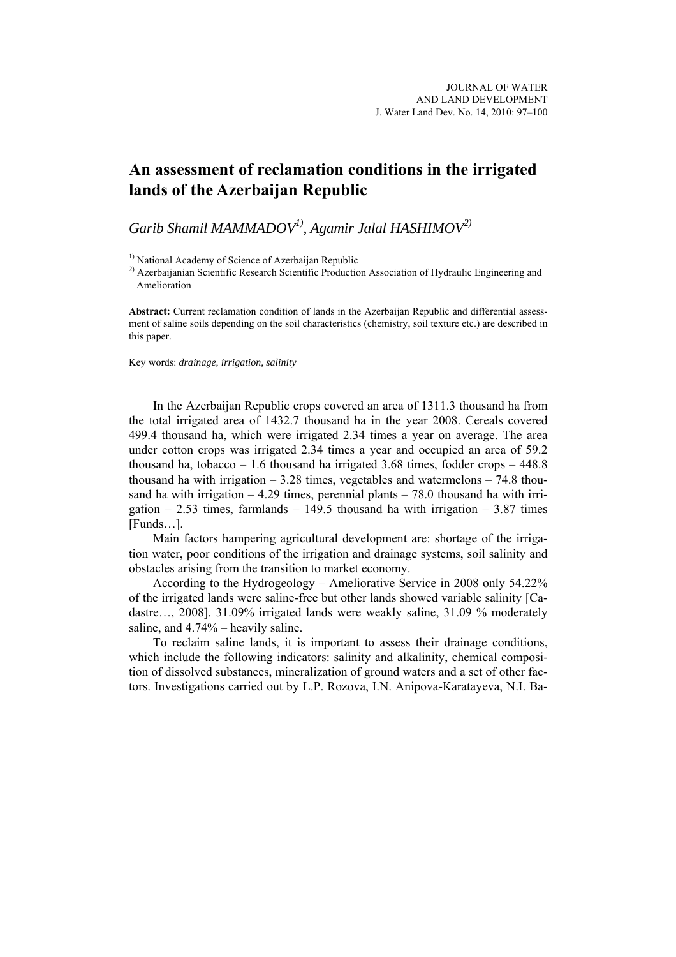## **An assessment of reclamation conditions in the irrigated lands of the Azerbaijan Republic**

*Garib Shamil MAMMADOV1), Agamir Jalal HASHIMOV2)*

<sup>1)</sup> National Academy of Science of Azerbaijan Republic

<sup>2)</sup> Azerbaijanian Scientific Research Scientific Production Association of Hydraulic Engineering and Amelioration

**Abstract:** Current reclamation condition of lands in the Azerbaijan Republic and differential assessment of saline soils depending on the soil characteristics (chemistry, soil texture etc.) are described in this paper.

Key words: *drainage, irrigation, salinity* 

In the Azerbaijan Republic crops covered an area of 1311.3 thousand ha from the total irrigated area of 1432.7 thousand ha in the year 2008. Cereals covered 499.4 thousand ha, which were irrigated 2.34 times a year on average. The area under cotton crops was irrigated 2.34 times a year and occupied an area of 59.2 thousand ha, tobacco – 1.6 thousand ha irrigated 3.68 times, fodder crops –  $448.8$ thousand ha with irrigation  $-3.28$  times, vegetables and watermelons  $-74.8$  thousand ha with irrigation  $-4.29$  times, perennial plants  $-78.0$  thousand ha with irrigation  $-2.53$  times, farmlands  $-149.5$  thousand ha with irrigation  $-3.87$  times [Funds…].

Main factors hampering agricultural development are: shortage of the irrigation water, poor conditions of the irrigation and drainage systems, soil salinity and obstacles arising from the transition to market economy.

According to the Hydrogeology – Ameliorative Service in 2008 only 54.22% of the irrigated lands were saline-free but other lands showed variable salinity [Cadastre…, 2008]. 31.09% irrigated lands were weakly saline, 31.09 % moderately saline, and 4.74% – heavily saline.

To reclaim saline lands, it is important to assess their drainage conditions, which include the following indicators: salinity and alkalinity, chemical composition of dissolved substances, mineralization of ground waters and a set of other factors. Investigations carried out by L.P. Rozova, I.N. Anipova-Karatayeva, N.I. Ba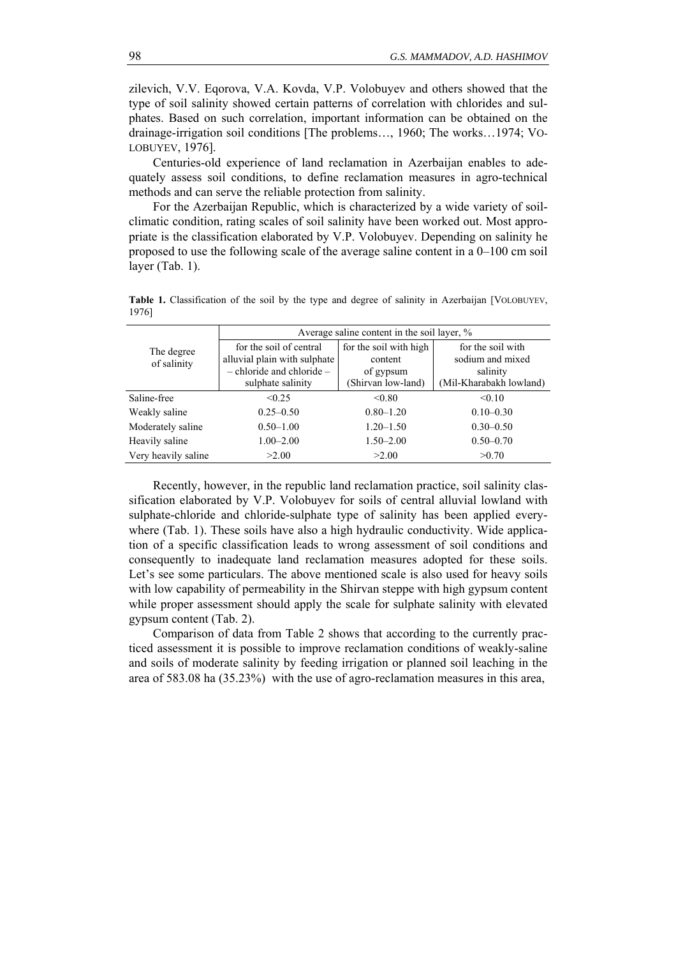zilevich, V.V. Eqorova, V.A. Kovda, V.P. Volobuyev and others showed that the type of soil salinity showed certain patterns of correlation with chlorides and sulphates. Based on such correlation, important information can be obtained on the drainage-irrigation soil conditions [The problems…, 1960; The works…1974; VO-LOBUYEV, 1976].

Centuries-old experience of land reclamation in Azerbaijan enables to adequately assess soil conditions, to define reclamation measures in agro-technical methods and can serve the reliable protection from salinity.

For the Azerbaijan Republic, which is characterized by a wide variety of soilclimatic condition, rating scales of soil salinity have been worked out. Most appropriate is the classification elaborated by V.P. Volobuyev. Depending on salinity he proposed to use the following scale of the average saline content in a 0–100 cm soil layer (Tab. 1).

| The degree<br>of salinity | Average saline content in the soil layer, % |                        |                         |  |  |
|---------------------------|---------------------------------------------|------------------------|-------------------------|--|--|
|                           | for the soil of central                     | for the soil with high | for the soil with       |  |  |
|                           | alluvial plain with sulphate                | content                | sodium and mixed        |  |  |
|                           | $-$ chloride and chloride $-$               | of gypsum              | salinity                |  |  |
|                           | sulphate salinity                           | (Shirvan low-land)     | (Mil-Kharabakh lowland) |  |  |
| Saline-free               | < 0.25                                      | < 0.80                 | < 0.10                  |  |  |
| Weakly saline             | $0.25 - 0.50$                               | $0.80 - 1.20$          | $0.10 - 0.30$           |  |  |
| Moderately saline         | $0.50 - 1.00$                               | $1.20 - 1.50$          | $0.30 - 0.50$           |  |  |
| Heavily saline            | $1.00 - 2.00$                               | $1.50 - 2.00$          | $0.50 - 0.70$           |  |  |
| Very heavily saline       | >2.00                                       | >2.00                  | >0.70                   |  |  |

Table 1. Classification of the soil by the type and degree of salinity in Azerbaijan [VOLOBUYEV, 1976]

Recently, however, in the republic land reclamation practice, soil salinity classification elaborated by V.P. Volobuyev for soils of central alluvial lowland with sulphate-chloride and chloride-sulphate type of salinity has been applied everywhere (Tab. 1). These soils have also a high hydraulic conductivity. Wide application of a specific classification leads to wrong assessment of soil conditions and consequently to inadequate land reclamation measures adopted for these soils. Let's see some particulars. The above mentioned scale is also used for heavy soils with low capability of permeability in the Shirvan steppe with high gypsum content while proper assessment should apply the scale for sulphate salinity with elevated gypsum content (Tab. 2).

Comparison of data from Table 2 shows that according to the currently practiced assessment it is possible to improve reclamation conditions of weakly-saline and soils of moderate salinity by feeding irrigation or planned soil leaching in the area of 583.08 ha (35.23%) with the use of agro-reclamation measures in this area,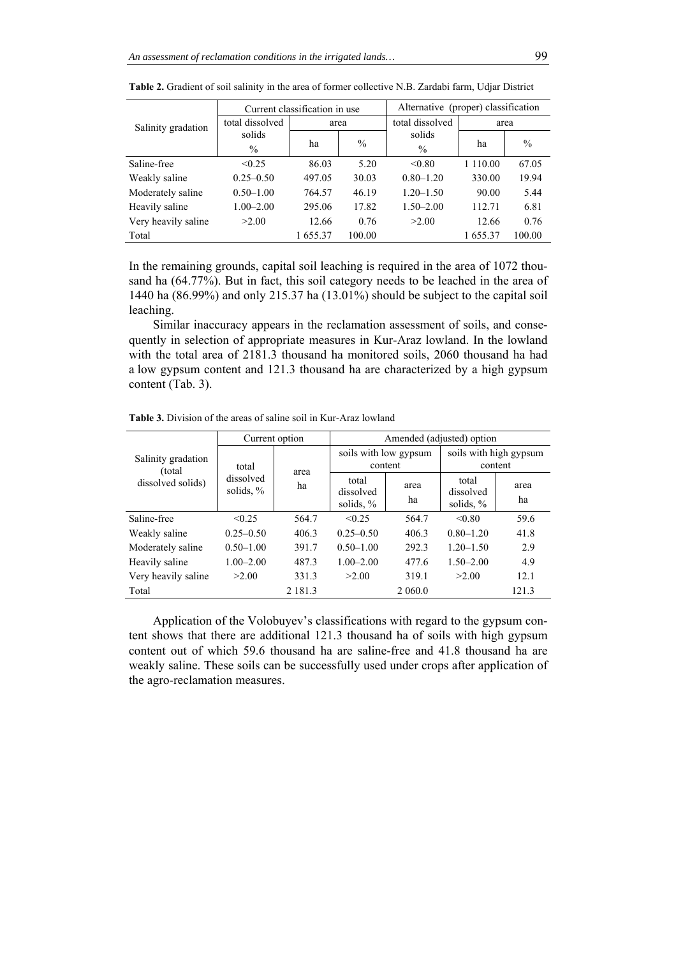|                     | Current classification in use |         |        | Alternative (proper) classification |             |               |
|---------------------|-------------------------------|---------|--------|-------------------------------------|-------------|---------------|
| Salinity gradation  | total dissolved               | area    |        | total dissolved                     | area        |               |
|                     | solids                        | ha      | $\%$   | solids                              | ha          | $\frac{0}{0}$ |
|                     | $\%$                          |         |        | $\%$                                |             |               |
| Saline-free         | < 0.25                        | 86.03   | 5.20   | < 0.80                              | 1 1 1 0 .00 | 67.05         |
| Weakly saline       | $0.25 - 0.50$                 | 497.05  | 30.03  | $0.80 - 1.20$                       | 330.00      | 19.94         |
| Moderately saline   | $0.50 - 1.00$                 | 764.57  | 46.19  | $1.20 - 1.50$                       | 90.00       | 5.44          |
| Heavily saline      | $1.00 - 2.00$                 | 295.06  | 17.82  | $1.50 - 2.00$                       | 112.71      | 6.81          |
| Very heavily saline | >2.00                         | 12.66   | 0.76   | >2.00                               | 12.66       | 0.76          |
| Total               |                               | 1655.37 | 100.00 |                                     | 1655.37     | 100.00        |

**Table 2.** Gradient of soil salinity in the area of former collective N.B. Zardabi farm, Udjar District

In the remaining grounds, capital soil leaching is required in the area of 1072 thousand ha (64.77%). But in fact, this soil category needs to be leached in the area of 1440 ha (86.99%) and only 215.37 ha (13.01%) should be subject to the capital soil leaching.

Similar inaccuracy appears in the reclamation assessment of soils, and consequently in selection of appropriate measures in Kur-Araz lowland. In the lowland with the total area of 2181.3 thousand ha monitored soils, 2060 thousand ha had a low gypsum content and 121.3 thousand ha are characterized by a high gypsum content (Tab. 3).

| Salinity gradation<br>(total)<br>dissolved solids) | Current option                     |             | Amended (adjusted) option          |            |                                    |            |
|----------------------------------------------------|------------------------------------|-------------|------------------------------------|------------|------------------------------------|------------|
|                                                    | total<br>dissolved<br>solids, $\%$ | area<br>ha  | soils with low gypsum<br>content   |            | soils with high gypsum<br>content  |            |
|                                                    |                                    |             | total<br>dissolved<br>solids, $\%$ | area<br>ha | total<br>dissolved<br>solids, $\%$ | area<br>ha |
| Saline-free                                        | < 0.25                             | 564.7       | < 0.25                             | 564.7      | < 0.80                             | 59.6       |
| Weakly saline                                      | $0.25 - 0.50$                      | 406.3       | $0.25 - 0.50$                      | 406.3      | $0.80 - 1.20$                      | 41.8       |
| Moderately saline                                  | $0.50 - 1.00$                      | 391.7       | $0.50 - 1.00$                      | 292.3      | $1.20 - 1.50$                      | 2.9        |
| Heavily saline                                     | $1.00 - 2.00$                      | 487.3       | $1.00 - 2.00$                      | 477.6      | $1.50 - 2.00$                      | 4.9        |
| Very heavily saline                                | >2.00                              | 331.3       | >2.00                              | 319.1      | >2.00                              | 12.1       |
| Total                                              |                                    | 2 1 8 1 . 3 |                                    | 2 060.0    |                                    | 121.3      |

**Table 3.** Division of the areas of saline soil in Kur-Araz lowland

Application of the Volobuyev's classifications with regard to the gypsum content shows that there are additional 121.3 thousand ha of soils with high gypsum content out of which 59.6 thousand ha are saline-free and 41.8 thousand ha are weakly saline. These soils can be successfully used under crops after application of the agro-reclamation measures.